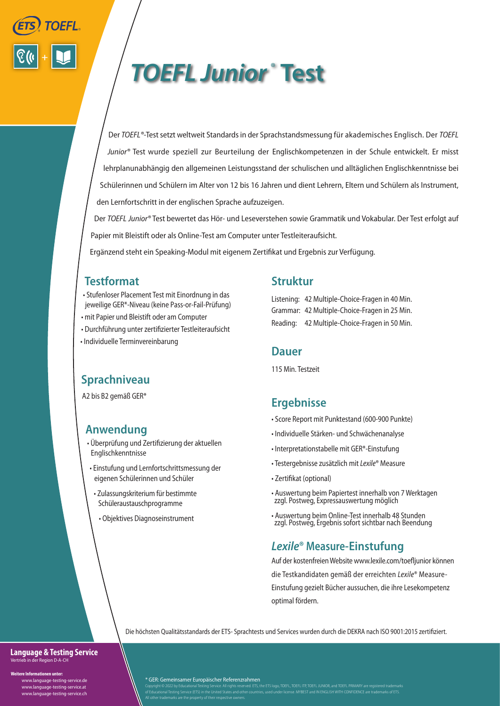

# *TOEFL Junior ®* **Test**

Der *TOEFL®*-Test setzt weltweit Standards in der Sprachstandsmessung für akademisches Englisch. Der *TOEFL Junior®* Test wurde speziell zur Beurteilung der Englischkompetenzen in der Schule entwickelt. Er misst lehrplanunabhängig den allgemeinen Leistungsstand der schulischen und alltäglichen Englischkenntnisse bei Schülerinnen und Schülern im Alter von 12 bis 16 Jahren und dient Lehrern, Eltern und Schülern als Instrument, den Lernfortschritt in der englischen Sprache aufzuzeigen.

Der *TOEFL Junior®* Test bewertet das Hör- und Leseverstehen sowie Grammatik und Vokabular. Der Test erfolgt auf Papier mit Bleistift oder als Online-Test am Computer unter Testleiteraufsicht.

Ergänzend steht ein Speaking-Modul mit eigenem Zertifikat und Ergebnis zur Verfügung.

## **Testformat**

- Stufenloser Placement Test mit Einordnung in das jeweilige GER\*-Niveau (keine Pass-or-Fail-Prüfung)
- mit Papier und Bleistift oder am Computer
- Durchführung unter zertifizierter Testleiteraufsicht
- Individuelle Terminvereinbarung

## **Sprachniveau**

A2 bis B2 gemäß GER\*

# **Anwendung**

- Überprüfung und Zertifizierung der aktuellen Englischkenntnisse
- Einstufung und Lernfortschrittsmessung der eigenen Schülerinnen und Schüler
	- Zulassungskriterium für bestimmte Schüleraustauschprogramme
	- Objektives Diagnoseinstrument

## **Struktur**

Listening: 42 Multiple-Choice-Fragen in 40 Min. Grammar: 42 Multiple-Choice-Fragen in 25 Min. Reading: 42 Multiple-Choice-Fragen in 50 Min.

### **Dauer**

115 Min. Testzeit

# **Ergebnisse**

- Score Report mit Punktestand (600-900 Punkte)
- Individuelle Stärken- und Schwächenanalyse
- Interpretationstabelle mit GER\*-Einstufung
- Testergebnisse zusätzlich mit *Lexile*® Measure
- Zertifikat (optional)
- Auswertung beim Papiertest innerhalb von 7 Werktagen zzgl. Postweg, Expressauswertung möglich
- Auswertung beim Online-Test innerhalb 48 Stunden zzgl. Postweg, Ergebnis sofort sichtbar nach Beendung

# *Lexile***® Measure-Einstufung**

Auf der kostenfreien Website www.lexile.com/toefljunior können die Testkandidaten gemäß der erreichten *Lexile*® Measure-Einstufung gezielt Bücher aussuchen, die ihre Lesekompetenz optimal fördern.

Die höchsten Qualitätsstandards der ETS- Sprachtests und Services wurden durch die DEKRA nach ISO 9001:2015 zertifiziert.

### **Language & Testing Service** Vertrieb in der Region D-A-CH

**Weitere Informationen unter:**

 www.language-testing-service.de www.language-testing-service.at www.language-testing-service.ch

### \* GER: Gemeinsamer Europäischer Referenzrahmen

All other trademarks are the property of their respective owners.

Copyright © 2022 by Educational Testing Service. All rights reserved. ETS, the ETS logo, TOEFL, TOEFL TR, TOEFL UNIOR, and TOEFL PRIMARY are registered trademarks<br>of Educational Testing Service (ETS) in the United States a